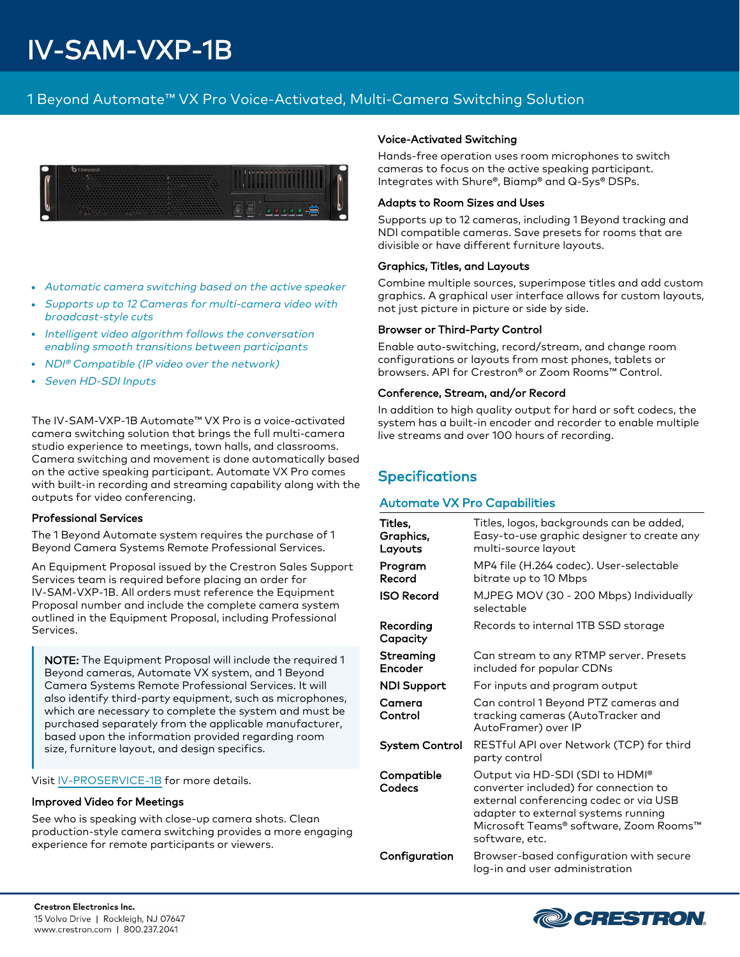# IV-SAM-VXP-1B

# 1 Beyond Automate™ VX Pro Voice-Activated, Multi-Camera Switching Solution



- Automatic camera switching based on the active speaker
- Supports up to 12 Cameras for multi-camera video with broadcast-style cuts
- Intelligent video algorithm follows the conversation enabling smooth transitions between participants
- <sup>l</sup> NDI® Compatible (IP video over the network)
- Seven HD-SDI Inputs

The IV-SAM-VXP-1B Automate™ VX Pro is a voice-activated camera switching solution that brings the full multi-camera studio experience to meetings, town halls, and classrooms. Camera switching and movement is done automatically based on the active speaking participant. Automate VX Pro comes with built-in recording and streaming capability along with the outputs for video conferencing.

## Professional Services

The 1 Beyond Automate system requires the purchase of 1 Beyond Camera Systems Remote Professional Services.

An Equipment Proposal issued by the Crestron Sales Support Services team is required before placing an order for IV-SAM-VXP-1B. All orders must reference the Equipment Proposal number and include the complete camera system outlined in the Equipment Proposal, including Professional Services.

NOTE: The Equipment Proposal will include the required 1 Beyond cameras, Automate VX system, and 1 Beyond Camera Systems Remote Professional Services. It will also identify third-party equipment, such as microphones, which are necessary to complete the system and must be purchased separately from the applicable manufacturer, based upon the information provided regarding room size, furniture layout, and design specifics.

Visit [IV-PROSERVICE-1B](https://www.crestron.com/model/3002175) for more details.

## Improved Video for Meetings

See who is speaking with close-up camera shots. Clean production-style camera switching provides a more engaging experience for remote participants or viewers.

## Voice-Activated Switching

Hands-free operation uses room microphones to switch cameras to focus on the active speaking participant. Integrates with Shure®, Biamp® and Q-Sys® DSPs.

## Adapts to Room Sizes and Uses

Supports up to 12 cameras, including 1 Beyond tracking and NDI compatible cameras. Save presets for rooms that are divisible or have different furniture layouts.

## Graphics, Titles, and Layouts

Combine multiple sources, superimpose titles and add custom graphics. A graphical user interface allows for custom layouts, not just picture in picture or side by side.

## Browser or Third-Party Control

Enable auto-switching, record/stream, and change room configurations or layouts from most phones, tablets or browsers. API for Crestron® or Zoom Rooms™ Control.

## Conference, Stream, and/or Record

In addition to high quality output for hard or soft codecs, the system has a built-in encoder and recorder to enable multiple live streams and over 100 hours of recording.

## **Specifications**

## Automate VX Pro Capabilities

| Titles,<br>Graphics,<br>Layouts | Titles, logos, backgrounds can be added,<br>Easy-to-use graphic designer to create any<br>multi-source layout                                                                                                         |
|---------------------------------|-----------------------------------------------------------------------------------------------------------------------------------------------------------------------------------------------------------------------|
| Program<br>Record               | MP4 file (H.264 codec). User-selectable<br>bitrate up to 10 Mbps                                                                                                                                                      |
| <b>ISO Record</b>               | MJPEG MOV (30 - 200 Mbps) Individually<br>selectable                                                                                                                                                                  |
| Recording<br>Capacity           | Records to internal 1TB SSD storage                                                                                                                                                                                   |
| Streaming<br>Encoder            | Can stream to any RTMP server. Presets<br>included for popular CDNs                                                                                                                                                   |
| <b>NDI Support</b>              | For inputs and program output                                                                                                                                                                                         |
| Camera<br>Control               | Can control 1 Beyond PTZ cameras and<br>tracking cameras (AutoTracker and<br>AutoFramer) over IP                                                                                                                      |
| System Control                  | RESTful API over Network (TCP) for third<br>party control                                                                                                                                                             |
| Compatible<br>Codecs            | Output via HD-SDI (SDI to HDMI®<br>converter included) for connection to<br>external conferencing codec or via USB<br>adapter to external systems running<br>Microsoft Teams® software, Zoom Rooms™<br>software, etc. |
| Configuration                   | Browser-based configuration with secure<br>log-in and user administration                                                                                                                                             |